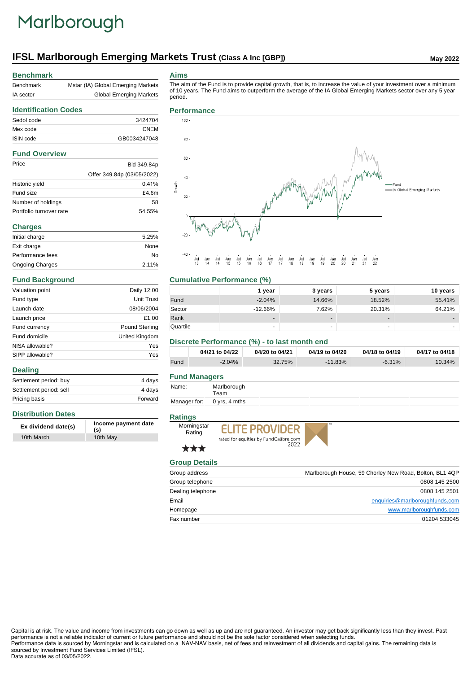# Marlborough

## **IFSL Marlborough Emerging Markets Trust (Class A Inc [GBP])** May 2022

#### **Benchmark**

| Benchmark | Mstar (IA) Global Emerging Markets |
|-----------|------------------------------------|
| IA sector | <b>Global Emerging Markets</b>     |

#### **Aims**

The aim of the Fund is to provide capital growth, that is, to increase the value of your investment over a minimum of 10 years. The Fund aims to outperform the average of the IA Global Emerging Markets sector over any 5 year period.

### **Identification Codes** Sedol code 3424704 Mex code CNEM ISIN code GB0034247048 **Fund Overview** Price Bid 349.84p Offer 349.84p (03/05/2022) Historic yield 0.41% Fund size **E4.6m** Number of holdings 58 Portfolio turnover rate 54.55% **Charges** Initial charge extensive that the set of the set of the set of the set of the set of the set of the set of the

| Initial charge         | 5.25% |
|------------------------|-------|
| Exit charge            | None  |
| Performance fees       | Nο    |
| <b>Ongoing Charges</b> | 2.11% |

#### **Fund Background**

| Valuation point | Daily 12:00    |
|-----------------|----------------|
| Fund type       | Unit Trust     |
| Launch date     | 08/06/2004     |
| Launch price    | £1.00          |
| Fund currency   | Pound Sterling |
| Fund domicile   | United Kingdom |
| NISA allowable? | Yes            |
| SIPP allowable? | Yes            |

#### **Dealing**

| Settlement period: buy  | 4 days  |
|-------------------------|---------|
| Settlement period: sell | 4 davs  |
| Pricing basis           | Forward |

#### **Distribution Dates**

| Ex dividend date(s) | Income payment date<br>(s) |
|---------------------|----------------------------|
| 10th March          | 10th May                   |

#### **Performance**



#### **Cumulative Performance (%)**

|          | 1 vear                   | 3 years                  | 5 years                  | 10 years |
|----------|--------------------------|--------------------------|--------------------------|----------|
| Fund     | $-2.04%$                 | 14.66%                   | 18.52%                   | 55.41%   |
| Sector   | $-12.66%$                | 7.62%                    | 20.31%                   | 64.21%   |
| Rank     | $\overline{\phantom{a}}$ | $\overline{\phantom{0}}$ | $\overline{\phantom{0}}$ | -        |
| Quartile | $\overline{\phantom{a}}$ |                          | -                        | -        |

#### **Discrete Performance (%) - to last month end**

|      | 04/21 to 04/22 | 04/20 to 04/21 | 04/19 to 04/20 | 04/18 to 04/19 | 04/17 to 04/18 |
|------|----------------|----------------|----------------|----------------|----------------|
| Fund | $-2.04%$       | 32.75%         | $-11.83\%$     | $-6.31\%$      | 10.34%         |

#### **Fund Managers**

| Name: | Marlborough |
|-------|-------------|
|       | Team        |

Manager for: 0 yrs, 4 mths

#### **Ratings**



\*\*\*





**Group Details** Group address **Marlborough House, 59 Chorley New Road, Bolton, BL1 4QP** New Road, Bolton, BL1 4QP Group telephone 0808 145 2500 Dealing telephone 0808 145 2501 Email enquiries@marlboroughfunds.com Homepage www.marlboroughfunds.com Fax number 01204 533045

Capital is at risk. The value and income from investments can go down as well as up and are not guaranteed. An investor may get back significantly less than they invest. Past performance is not a reliable indicator of current or future performance and should not be the sole factor considered when selecting funds. Performance data is sourced by Morningstar and is calculated on a NAV-NAV basis, net of fees and reinvestment of all dividends and capital gains. The remaining data is

sourced by Investment Fund Services Limited (IFSL). Data accurate as of 03/05/2022.